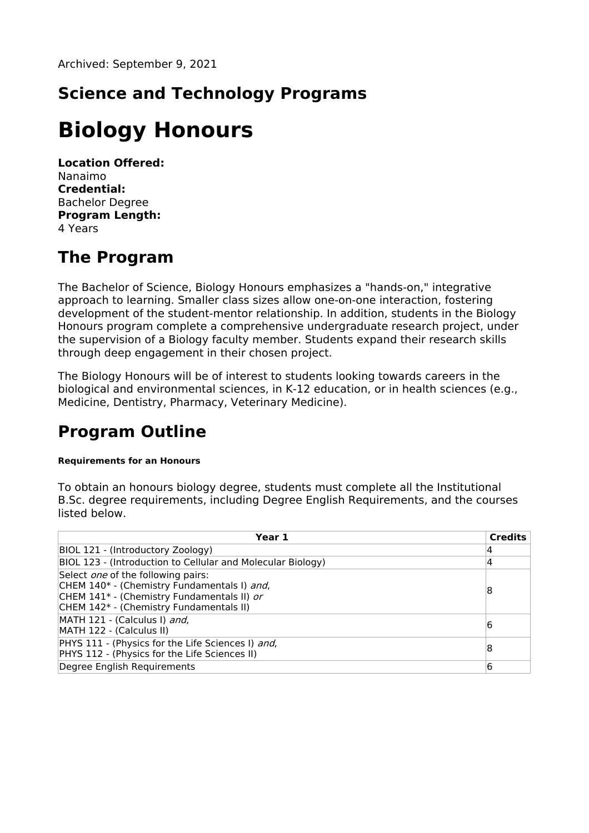# **Science and Technology Programs**

# **Biology Honours**

**Location Offered:** Nanaimo **Credential:** Bachelor Degree **Program Length:** 4 Years

## **The Program**

The Bachelor of Science, Biology Honours emphasizes a "hands-on," integrative approach to learning. Smaller class sizes allow one-on-one interaction, fostering development of the student-mentor relationship. In addition, students in the Biology Honours program complete a comprehensive undergraduate research project, under the supervision of a Biology faculty member. Students expand their research skills through deep engagement in their chosen project.

The Biology Honours will be of interest to students looking towards careers in the biological and environmental sciences, in K-12 education, or in health sciences (e.g., Medicine, Dentistry, Pharmacy, Veterinary Medicine).

### **Program Outline**

#### **Requirements for an Honours**

To obtain an honours biology degree, students must complete all the Institutional B.Sc. degree requirements, including Degree English Requirements, and the courses listed below.

| Year 1                                                                                                                                                                            | <b>Credits</b> |
|-----------------------------------------------------------------------------------------------------------------------------------------------------------------------------------|----------------|
| BIOL 121 - (Introductory Zoology)                                                                                                                                                 | 4              |
| BIOL 123 - (Introduction to Cellular and Molecular Biology)                                                                                                                       | 4              |
| Select <i>one</i> of the following pairs:<br>CHEM 140* - (Chemistry Fundamentals I) and,<br>CHEM 141* - (Chemistry Fundamentals II) or<br>CHEM 142* - (Chemistry Fundamentals II) | 8              |
| MATH 121 - (Calculus I) and,<br>MATH 122 - (Calculus II)                                                                                                                          | 6              |
| PHYS 111 - (Physics for the Life Sciences I) and,<br>PHYS 112 - (Physics for the Life Sciences II)                                                                                | 8              |
| Degree English Requirements                                                                                                                                                       | 6              |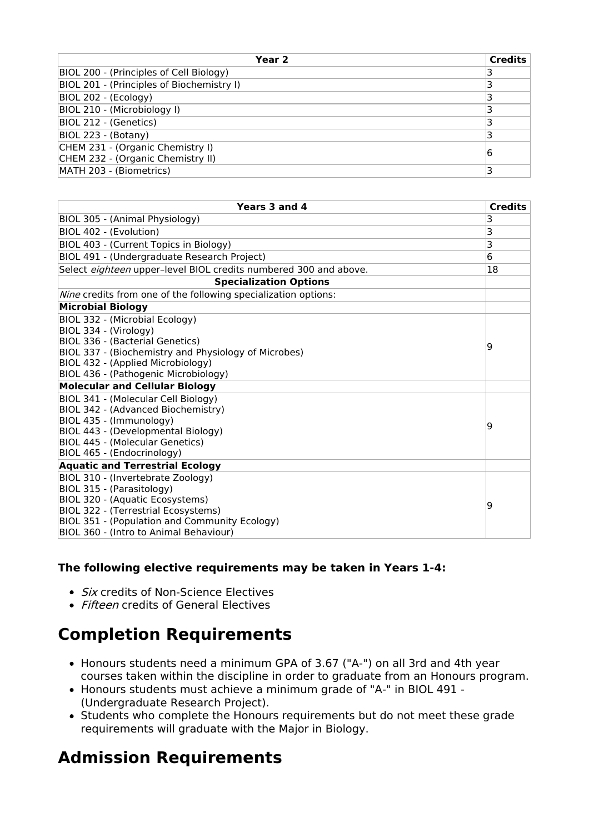| Year 2                                    | <b>Credits</b> |
|-------------------------------------------|----------------|
| BIOL 200 - (Principles of Cell Biology)   |                |
| BIOL 201 - (Principles of Biochemistry I) |                |
| BIOL 202 - (Ecology)                      |                |
| BIOL 210 - (Microbiology I)               |                |
| BIOL 212 - (Genetics)                     |                |
| BIOL 223 - (Botany)                       |                |
| CHEM 231 - (Organic Chemistry I)          | 6              |
| CHEM 232 - (Organic Chemistry II)         |                |
| MATH 203 - (Biometrics)                   |                |

| Years 3 and 4                                                    | <b>Credits</b> |
|------------------------------------------------------------------|----------------|
| BIOL 305 - (Animal Physiology)                                   | 3              |
| BIOL 402 - (Evolution)                                           | 3              |
| BIOL 403 - (Current Topics in Biology)                           | 3              |
| BIOL 491 - (Undergraduate Research Project)                      | 6              |
| Select eighteen upper-level BIOL credits numbered 300 and above. | 18             |
| <b>Specialization Options</b>                                    |                |
| Nine credits from one of the following specialization options:   |                |
| <b>Microbial Biology</b>                                         |                |
| BIOL 332 - (Microbial Ecology)                                   |                |
| BIOL 334 - (Virology)                                            |                |
| BIOL 336 - (Bacterial Genetics)                                  | 9              |
| BIOL 337 - (Biochemistry and Physiology of Microbes)             |                |
| BIOL 432 - (Applied Microbiology)                                |                |
| BIOL 436 - (Pathogenic Microbiology)                             |                |
| <b>Molecular and Cellular Biology</b>                            |                |
| BIOL 341 - (Molecular Cell Biology)                              |                |
| BIOL 342 - (Advanced Biochemistry)<br>BIOL 435 - (Immunology)    |                |
| BIOL 443 - (Developmental Biology)                               | 9              |
| <b>BIOL 445 - (Molecular Genetics)</b>                           |                |
| BIOL 465 - (Endocrinology)                                       |                |
| <b>Aquatic and Terrestrial Ecology</b>                           |                |
| BIOL 310 - (Invertebrate Zoology)                                |                |
| BIOL 315 - (Parasitology)                                        |                |
| BIOL 320 - (Aquatic Ecosystems)                                  |                |
| BIOL 322 - (Terrestrial Ecosystems)                              | 9              |
| BIOL 351 - (Population and Community Ecology)                    |                |
| BIOL 360 - (Intro to Animal Behaviour)                           |                |

#### **The following elective requirements may be taken in Years 1-4:**

- *Six* credits of Non-Science Electives
- Fifteen credits of General Electives

### **Completion Requirements**

- Honours students need a minimum GPA of 3.67 ("A-") on all 3rd and 4th year courses taken within the discipline in order to graduate from an Honours program.
- Honours students must achieve a minimum grade of "A-" in BIOL 491 (Undergraduate Research Project).
- Students who complete the Honours requirements but do not meet these grade requirements will graduate with the Major in Biology.

# **Admission Requirements**